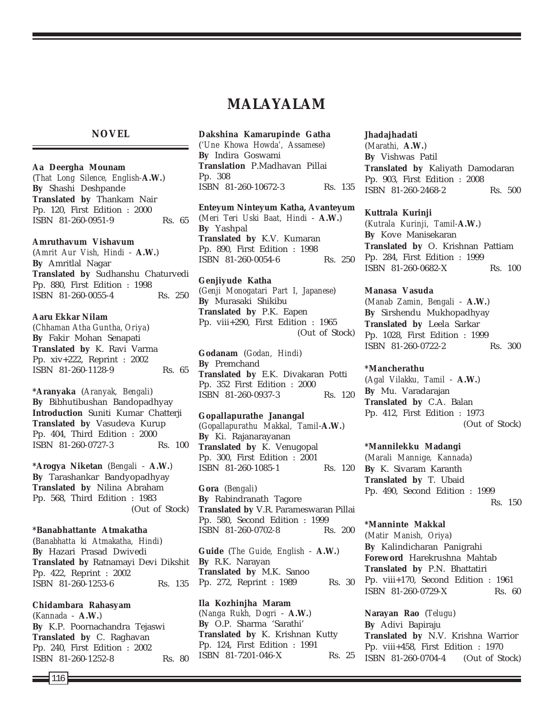# **MALAYALAM**

### **NOVEL**

#### **Aa Deergha Mounam**

(*That Long Silence, English-***A.W.**) **By** Shashi Deshpande **Translated by** Thankam Nair Pp. 120, First Edition : 2000 ISBN 81-260-0951-9 Rs. 65

#### **Amruthavum Vishavum**

(*Amrit Aur Vish, Hindi* - **A.W.**) **By** Amritlal Nagar **Translated by** Sudhanshu Chaturvedi Pp. 880, First Edition : 1998 ISBN 81-260-0055-4 Rs. 250

#### **Aaru Ekkar Nilam**

(*Chhaman Atha Guntha, Oriya*) **By** Fakir Mohan Senapati **Translated by** K. Ravi Varma Pp. xiv+222, Reprint : 2002 ISBN 81-260-1128-9 Rs. 65

**\*Aranyaka** (*Aranyak, Bengali*) **By** Bibhutibushan Bandopadhyay **Introduction** Suniti Kumar Chatterji **Translated by** Vasudeva Kurup Pp. 404, Third Edition : 2000 ISBN 81-260-0727-3 Rs. 100

**\*Arogya Niketan** (*Bengali* - **A.W.**) **By** Tarashankar Bandyopadhyay **Translated by** Nilina Abraham Pp. 568, Third Edition : 1983 (Out of Stock)

### **\*Banabhattante Atmakatha**

(*Banabhatta ki Atmakatha, Hindi*) **By** Hazari Prasad Dwivedi **Translated by** Ratnamayi Devi Dikshit Pp. 422, Reprint : 2002 ISBN 81-260-1253-6 Rs. 135

#### **Chidambara Rahasyam**

(*Kannada* - **A.W.**) **By** K.P. Poornachandra Tejaswi **Translated by** C. Raghavan Pp. 240, First Edition : 2002 ISBN 81-260-1252-8 Rs. 80

#### **Dakshina Kamarupinde Gatha** (*'Une Khowa Howda', Assamese*)

**By** Indira Goswami **Translation** P.Madhavan Pillai Pp. 308 ISBN 81-260-10672-3 Rs. 135

#### **Enteyum Ninteyum Katha, Avanteyum** (*Meri Teri Uski Baat, Hindi* - **A.W.**) **By** Yashpal **Translated by** K.V. Kumaran Pp. 890, First Edition : 1998 ISBN 81-260-0054-6 Rs. 250

**Genjiyude Katha** (*Genji Monogatari Part I, Japanese*) **By** Murasaki Shikibu **Translated by** P.K. Eapen Pp. viii+290, First Edition : 1965 (Out of Stock)

**Godanam** (*Godan, Hindi*) **By** Premchand **Translated by** E.K. Divakaran Potti Pp. 352 First Edition : 2000 ISBN 81-260-0937-3 Rs. 120

### **Gopallapurathe Janangal** (*Gopallapurathu Makkal, Tamil*-**A.W.**)

**By** Ki. Rajanarayanan **Translated by** K. Venugopal Pp. 300, First Edition : 2001 ISBN 81-260-1085-1 Rs. 120

**Gora** (*Bengali*) **By** Rabindranath Tagore **Translated by** V.R. Parameswaran Pillai Pp. 580, Second Edition : 1999 ISBN 81-260-0702-8 Rs. 200

**Guide** (*The Guide, English* - **A.W.**) **By** R.K. Narayan **Translated by** M.K. Sanoo Pp. 272, Reprint : 1989 Rs. 30

**Ila Kozhinjha Maram** (*Nanga Rukh, Dogri* - **A.W.**) **By** O.P. Sharma 'Sarathi' **Translated by** K. Krishnan Kutty Pp. 124, First Edition : 1991 ISBN 81-7201-046-X Rs. 25

#### **Jhadajhadati**

(*Marathi,* **A.W.**) **By** Vishwas Patil **Translated by** Kaliyath Damodaran Pp. 903, First Edition : 2008 ISBN 81-260-2468-2 Rs. 500

#### **Kuttrala Kurinji**

(*Kutrala Kurinji, Tamil-***A.W.**) **By** Kove Manisekaran **Translated by** O. Krishnan Pattiam Pp. 284, First Edition : 1999 ISBN 81-260-0682-X Rs. 100

#### **Manasa Vasuda**

(*Manab Zamin, Bengali* - **A.W.**) **By** Sirshendu Mukhopadhyay **Translated by** Leela Sarkar Pp. 1028, First Edition : 1999 ISBN 81-260-0722-2 Rs. 300

#### **\*Mancherathu**

(*Agal Vilakku, Tamil* - **A.W.**) **By** Mu. Varadarajan **Translated by** C.A. Balan Pp. 412, First Edition : 1973 (Out of Stock)

#### **\*Mannilekku Madangi**

(*Marali Mannige, Kannada*) **By** K. Sivaram Karanth **Translated by** T. Ubaid Pp. 490, Second Edition : 1999 Rs. 150

### **\*Manninte Makkal**

(*Matir Manish, Oriya*) **By** Kalindicharan Panigrahi **Foreword** Harekrushna Mahtab **Translated by** P.N. Bhattatiri Pp. viii+170, Second Edition : 1961 ISBN 81-260-0729-X Rs. 60

**Narayan Rao** (*Telugu*) **By** Adivi Bapiraju **Translated by** N.V. Krishna Warrior Pp. viii+458, First Edition : 1970 ISBN 81-260-0704-4 (Out of Stock)

116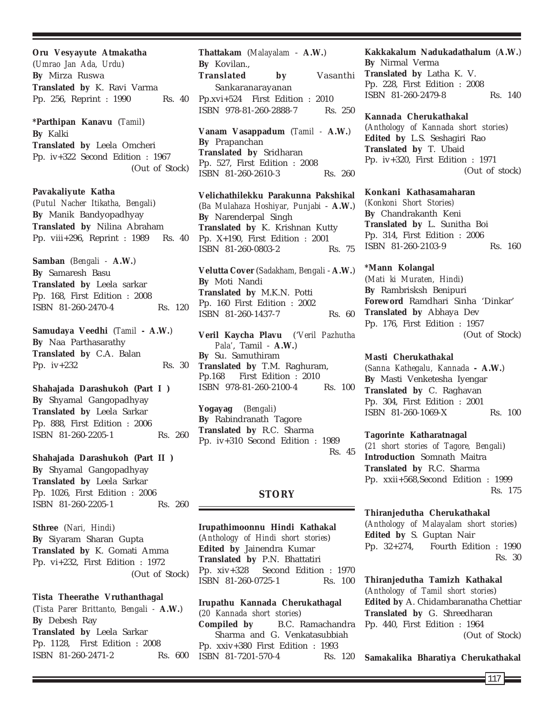**Oru Vesyayute Atmakatha** (*Umrao Jan Ada, Urdu*) **By** Mirza Ruswa **Translated by** K. Ravi Varma Pp. 256, Reprint : 1990 Rs. 40

**\*Parthipan Kanavu** (*Tamil*) **By** Kalki **Translated by** Leela Omcheri Pp. iv+322 Second Edition : 1967 (Out of Stock)

**Pavakaliyute Katha** (*Putul Nacher Itikatha, Bengali*) **By** Manik Bandyopadhyay **Translated by** Nilina Abraham Pp. viii+296, Reprint : 1989 Rs. 40

**Samban** (*Bengali -* **A.W.**) **By** Samaresh Basu **Translated by** Leela sarkar Pp. 168, First Edition : 2008 ISBN 81-260-2470-4 Rs. 120

**Samudaya Veedhi** (*Tamil* **- A.W.**) **By** Naa Parthasarathy **Translated by** C.A. Balan Pp. iv+232 Rs. 30

**Shahajada Darashukoh (Part I ) By** Shyamal Gangopadhyay **Translated by** Leela Sarkar Pp. 888, First Edition : 2006 ISBN 81-260-2205-1 Rs. 260

**Shahajada Darashukoh (Part II ) By** Shyamal Gangopadhyay **Translated by** Leela Sarkar Pp. 1026, First Edition : 2006 ISBN 81-260-2205-1 Rs. 260

**Sthree** (*Nari, Hindi*) **By** Siyaram Sharan Gupta **Translated by** K. Gomati Amma Pp. vi+232, First Edition : 1972 (Out of Stock)

**Tista Theerathe Vruthanthagal** (*Tista Parer Brittanto, Bengali -* **A.W.**) **By** Debesh Ray **Translated by** Leela Sarkar Pp. 1128, First Edition : 2008 ISBN 81-260-2471-2 Rs. 600

**Thattakam** (*Malayalam* - **A.W.**) **By** Kovilan., **Translated by** Vasanthi Sankaranarayanan Pp.xvi+524 First Edition : 2010 ISBN 978-81-260-2888-7 Rs. 250

**Vanam Vasappadum** (*Tamil -* **A.W.**) **By** Prapanchan **Translated by** Sridharan Pp. 527, First Edition : 2008 ISBN 81-260-2610-3 Rs. 260

**Velichathilekku Parakunna Pakshikal** (*Ba Mulahaza Hoshiyar, Punjabi* - **A.W.**) **By** Narenderpal Singh **Translated by** K. Krishnan Kutty Pp. X+190, First Edition : 2001 ISBN 81-260-0803-2 Rs. 75

**Velutta Cover** (*Sadakham, Bengali* - **A.W.**) **By** Moti Nandi **Translated by** M.K.N. Potti Pp. 160 First Edition : 2002 ISBN 81-260-1437-7 Rs. 60

**Veril Kaycha Plavu** ('*Veril Pazhutha Pala'*, Tamil - **A.W.**) **By** Su. Samuthiram **Translated by** T.M. Raghuram, Pp.168 First Edition : 2010 ISBN 978-81-260-2100-4 Rs. 100

**Yogayag** (*Bengali*) **By** Rabindranath Tagore **Translated by** R.C. Sharma Pp. iv+310 Second Edition : 1989 Rs. 45

#### **STORY**

**Irupathimoonnu Hindi Kathakal** (*Anthology of Hindi short stories*) **Edited by** Jainendra Kumar **Translated by** P.N. Bhattatiri Pp. xiv+328 Second Edition : 1970 ISBN 81-260-0725-1 Rs. 100

**Irupathu Kannada Cherukathagal** (*20 Kannada short stories*) **Compiled by** B.C. Ramachandra Sharma and G. Venkatasubbiah Pp. xxiv+380 First Edition : 1993 ISBN 81-7201-570-4 Rs. 120

**Kakkakalum Nadukadathalum** (**A.W.**) **By** Nirmal Verma **Translated by** Latha K. V. Pp. 228, First Edition : 2008 ISBN 81-260-2479-8 Rs. 140

**Kannada Cherukathakal** (*Anthology of Kannada short stories*) **Edited by** L.S. Seshagiri Rao **Translated by** T. Ubaid Pp. iv+320, First Edition : 1971 (Out of stock)

**Konkani Kathasamaharan**

*(Konkoni Short Stories)* **By** Chandrakanth Keni **Translated by** L. Sunitha Boi Pp. 314, First Edition : 2006 ISBN 81-260-2103-9 Rs. 160

**\*Mann Kolangal**

(*Mati ki Muraten, Hindi*) **By** Rambrisksh Benipuri **Foreword** Ramdhari Sinha 'Dinkar' **Translated by** Abhaya Dev Pp. 176, First Edition : 1957 (Out of Stock)

**Masti Cherukathakal**

(*Sanna Kathegalu, Kannada* **- A.W.**) **By** Masti Venketesha Iyengar **Translated by** C. Raghavan Pp. 304, First Edition : 2001 ISBN 81-260-1069-X Rs. 100

**Tagorinte Katharatnagal** (*21 short stories of Tagore, Bengali*) **Introduction** Somnath Maitra

**Translated by** R.C. Sharma Pp. xxii+568,Second Edition : 1999 Rs. 175

**Thiranjedutha Cherukathakal** (*Anthology of Malayalam short stories*) **Edited by** S. Guptan Nair Pp. 32+274, Fourth Edition : 1990 Rs. 30

**Thiranjedutha Tamizh Kathakal** (*Anthology of Tamil short stories*) **Edited by** A. Chidambaranatha Chettiar **Translated by** G. Shreedharan Pp. 440, First Edition : 1964 (Out of Stock)

**Samakalika Bharatiya Cherukathakal**

 $117<sup>1</sup>$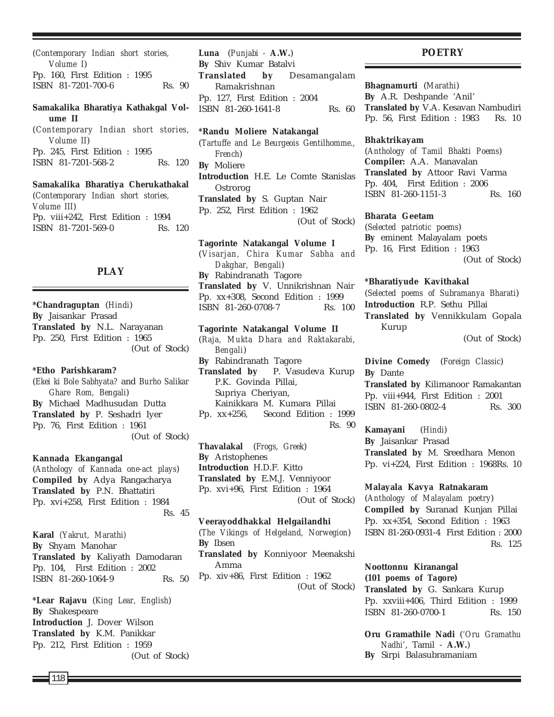(*Contemporary Indian short stories, Volume I*) Pp. 160, First Edition : 1995 ISBN 81-7201-700-6 Rs. 90

### **Samakalika Bharatiya Kathakgal Volume II**

(*Contemporary Indian short stories, Volume II*) Pp. 245, First Edition : 1995 ISBN 81-7201-568-2 Rs. 120

**Samakalika Bharatiya Cherukathakal** (*Contemporary Indian short stories, Volume III*) Pp. viii+242, First Edition : 1994 ISBN 81-7201-569-0 Rs. 120

### **PLAY**

**\*Chandraguptan** (*Hindi*) **By** Jaisankar Prasad **Translated by** N.L. Narayanan Pp. 250, First Edition : 1965 (Out of Stock)

#### **\*Etho Parishkaram?**

(*Ekei ki Bole Sabhyata?* and *Burho Salikar Ghare Rom, Bengali*) **By** Michael Madhusudan Dutta **Translated by** P. Seshadri Iyer Pp. 76, First Edition : 1961 (Out of Stock)

**Kannada Ekangangal**

(*Anthology of Kannada one-act plays*) **Compiled by** Adya Rangacharya **Translated by** P.N. Bhattatiri Pp. xvi+258, First Edition : 1984 Rs. 45

**Karal** *(Yakrut, Marathi)* **By** Shyam Manohar **Translated by** Kaliyath Damodaran Pp. 104, First Edition : 2002 ISBN 81-260-1064-9 Rs. 50

**\*Lear Rajavu** (*King Lear, English*) **By** Shakespeare **Introduction** J. Dover Wilson **Translated by** K.M. Panikkar Pp. 212, First Edition : 1959 (Out of Stock) **Luna** (*Punjabi -* **A.W.**) **By** Shiv Kumar Batalvi **Translated by** Desamangalam Ramakrishnan Pp. 127, First Edition : 2004 ISBN 81-260-1641-8 Rs. 60

#### **\*Randu Moliere Natakangal**

(*Tartuffe and Le Beurgeois Gentilhomme., French*) **By** Moliere **Introduction** H.E. Le Comte Stanislas Ostrorog **Translated by** S. Guptan Nair Pp. 252, First Edition : 1962 (Out of Stock)

**Tagorinte Natakangal Volume I** (*Visarjan, Chira Kumar Sabha and Dakghar, Bengali*) **By** Rabindranath Tagore **Translated by** V. Unnikrishnan Nair Pp. xx+308, Second Edition : 1999 ISBN 81-260-0708-7 Rs. 100

**Tagorinte Natakangal Volume II** (*Raja, Mukta Dhara and Raktakarabi, Bengali*) **By** Rabindranath Tagore **Translated by** P. Vasudeva Kurup P.K. Govinda Pillai, Supriya Cheriyan, Kainikkara M. Kumara Pillai Pp. xx+256, Second Edition : 1999 Rs. 90

**Thavalakal** (*Frogs, Greek*) **By** Aristophenes **Introduction** H.D.F. Kitto **Translated by** E.M.J. Venniyoor Pp. xvi+96, First Edition : 1964 (Out of Stock)

**Veerayoddhakkal Helgailandhi** (*The Vikings of Helgeland, Norwegion*) **By** Ibsen **Translated by** Konniyoor Meenakshi Amma Pp. xiv+86, First Edition : 1962 (Out of Stock)

#### **POETRY**

**Bhagnamurti** (*Marathi*) **By** A.R. Deshpande 'Anil' **Translated by** V.A. Kesavan Nambudiri Pp. 56, First Edition : 1983 Rs. 10

#### **Bhaktrikayam**

(*Anthology of Tamil Bhakti Poems*) **Compiler:** A.A. Manavalan **Translated by** Attoor Ravi Varma Pp. 404, First Edition : 2006 ISBN 81-260-1151-3 Rs. 160

#### **Bharata Geetam**

(*Selected patriotic poems*) **By** eminent Malayalam poets Pp. 16, First Edition : 1963 (Out of Stock)

#### **\*Bharatiyude Kavithakal**

(*Selected poems of Subramanya Bharati*) **Introduction** R.P. Sethu Pillai **Translated by** Vennikkulam Gopala Kurup

(Out of Stock)

**Divine Comedy** (*Foreign Classic*) **By** Dante **Translated by** Kilimanoor Ramakantan Pp. viii+944, First Edition : 2001 ISBN 81-260-0802-4 Rs. 300

**Kamayani** (*Hindi*) **By** Jaisankar Prasad **Translated by** M. Sreedhara Menon Pp. vi+224, First Edition : 1968Rs. 10

**Malayala Kavya Ratnakaram** (*Anthology of Malayalam poetry*) **Compiled by** Suranad Kunjan Pillai Pp. xx+354, Second Edition : 1963 ISBN 81-260-0931-4 First Edition : 2000 Rs. 125

### **Noottonnu Kiranangal (***101 poems of Tagore***)**

**Translated by** G. Sankara Kurup Pp. xxviii+406, Third Edition : 1999 ISBN 81-260-0700-1 Rs. 150

**Oru Gramathile Nadi** (*'Oru Gramathu Nadhi'*, Tamil - **A.W.**) **By** Sirpi Balasubramaniam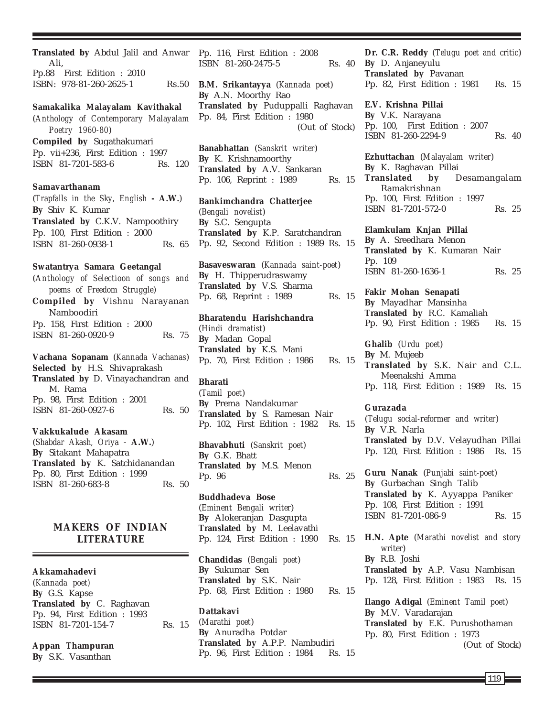**Translated by** Abdul Jalil and Anwar Ali, Pp.88 First Edition : 2010 ISBN: 978-81-260-2625-1 Rs.50 **Samakalika Malayalam Kavithakal** (*Anthology of Contemporary Malayalam Poetry 1960-80*) **Compiled by** Sugathakumari Pp. vii+236, First Edition : 1997 ISBN 81-7201-583-6 Rs. 120 **Samavarthanam** (*Trapfalls in the Sky, English* **- A.W.**) **By** Shiv K. Kumar **Translated by** C.K.V. Nampoothiry Pp. 100, First Edition : 2000 ISBN 81-260-0938-1 Rs. 65 **Swatantrya Samara Geetangal** (*Anthology of Selectioon of songs and poems of Freedom Struggle*) **Compiled by** Vishnu Narayanan Namboodiri Pp. 158, First Edition : 2000 ISBN 81-260-0920-9 Rs. 75 **Vachana Sopanam** (*Kannada Vachanas*) **Selected by** H.S. Shivaprakash **Translated by** D. Vinayachandran and M. Rama Pp. 98, First Edition : 2001 ISBN 81-260-0927-6 Rs. 50 **Vakkukalude Akasam** (*Shabdar Akash, Oriya* - **A.W.**)

**By** Sitakant Mahapatra **Translated by** K. Satchidanandan Pp. 80, First Edition : 1999 ISBN 81-260-683-8 Rs. 50

### **MAKERS OF INDIAN LITERATURE**

**Akkamahadevi**

(*Kannada poet)* **By** G.S. Kapse **Translated by** C. Raghavan Pp. 94, First Edition : 1993 ISBN 81-7201-154-7 Rs. 15

**Appan Thampuran**

**By** S.K. Vasanthan

Pp. 116, First Edition : 2008 ISBN 81-260-2475-5 Rs. 40

**B.M. Srikantayya** (*Kannada poet*) **By** A.N. Moorthy Rao **Translated by** Puduppalli Raghavan Pp. 84, First Edition : 1980 (Out of Stock)

**Banabhattan** (*Sanskrit writer*) **By** K. Krishnamoorthy **Translated by** A.V. Sankaran Pp. 106, Reprint : 1989 Rs. 15

**Bankimchandra Chatterjee** (*Bengali novelist*) **By** S.C. Sengupta **Translated by** K.P. Saratchandran Pp. 92, Second Edition : 1989 Rs. 15

**Basaveswaran** (*Kannada saint-poet*) **By** H. Thipperudraswamy **Translated by** V.S. Sharma Pp. 68, Reprint : 1989 Rs. 15

**Bharatendu Harishchandra** (*Hindi dramatist*) **By** Madan Gopal **Translated by** K.S. Mani Pp. 70, First Edition : 1986 Rs. 15

**Bharati** (*Tamil poet*) **By** Prema Nandakumar **Translated by** S. Ramesan Nair Pp. 102, First Edition : 1982 Rs. 15

**Bhavabhuti** (*Sanskrit poet*) **By** G.K. Bhatt **Translated by** M.S. Menon Pp. 96 Rs. 25

**Buddhadeva Bose** (*Eminent Bengali writer*) **By** Alokeranjan Dasgupta **Translated by** M. Leelavathi Pp. 124, First Edition : 1990 Rs. 15

**Chandidas** (*Bengali poet*) **By** Sukumar Sen **Translated by** S.K. Nair Pp. 68, First Edition : 1980 Rs. 15

**Dattakavi** (*Marathi poet*) **By** Anuradha Potdar **Translated by** A.P.P. Nambudiri Pp. 96, First Edition : 1984 Rs. 15

**Dr. C.R. Reddy** (*Telugu poet and critic*) **By** D. Anjaneyulu **Translated by** Pavanan Pp. 82, First Edition : 1981 Rs. 15

**E.V. Krishna Pillai By** V.K. Narayana Pp. 100, First Edition : 2007 ISBN 81-260-2294-9 Rs. 40

**Ezhuttachan** (*Malayalam writer*) **By** K. Raghavan Pillai **Translated by** Desamangalam Ramakrishnan Pp. 100, First Edition : 1997 ISBN 81-7201-572-0 Rs. 25

**Elamkulam Knjan Pillai By** A. Sreedhara Menon **Translated by** K. Kumaran Nair Pp. 109 ISBN 81-260-1636-1 Rs. 25

**Fakir Mohan Senapati By** Mayadhar Mansinha **Translated by** R.C. Kamaliah Pp. 90, First Edition : 1985 Rs. 15

**Ghalib** (*Urdu poet*) **By** M. Mujeeb **Translated by** S.K. Nair and C.L. Meenakshi Amma Pp. 118, First Edition : 1989 Rs. 15

#### **Gurazada**

(*Telugu social-reformer and writer*) **By** V.R. Narla **Translated by** D.V. Velayudhan Pillai Pp. 120, First Edition : 1986 Rs. 15

**Guru Nanak** (*Punjabi saint-poet*) **By** Gurbachan Singh Talib **Translated by** K. Ayyappa Paniker Pp. 108, First Edition : 1991 ISBN 81-7201-086-9 Rs. 15

**H.N. Apte** (*Marathi novelist and story writer*) **By** R.B. Joshi **Translated by** A.P. Vasu Nambisan Pp. 128, First Edition : 1983 Rs. 15 **Ilango Adigal** (*Eminent Tamil poet*) **By** M.V. Varadarajan **Translated by** E.K. Purushothaman Pp. 80, First Edition : 1973

(Out of Stock)

119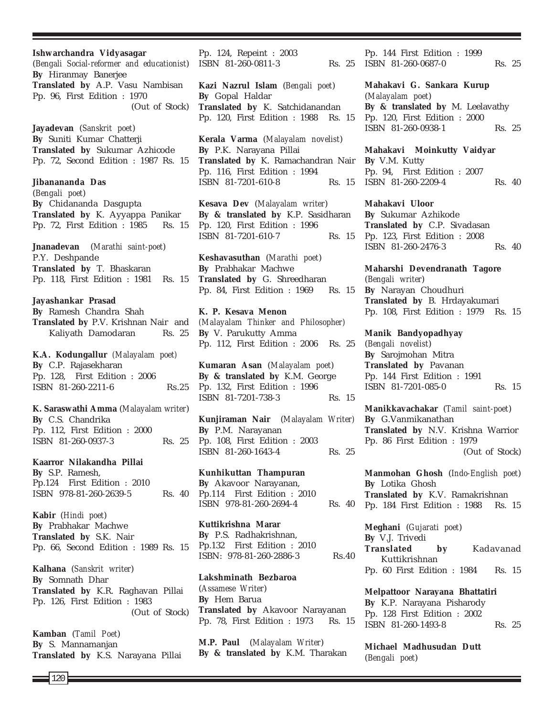120 **By** C.P. Rajasekharan **By** C.S. Chandrika **By** S.P. Ramesh, **Kabir** (*Hindi poet*) **By** Prabhakar Machwe **Translated by** S.K. Nair **Kalhana** (*Sanskrit writer*) **By** Somnath Dhar **Kamban** (*Tamil Poet*) **By** S. Mannamanjan

**Ishwarchandra Vidyasagar** (*Bengali Social-reformer and educationist*) **By** Hiranmay Banerjee **Translated by** A.P. Vasu Nambisan Pp. 96, First Edition : 1970 (Out of Stock)

**Jayadevan** (*Sanskrit poet*) **By** Suniti Kumar Chatterji **Translated by** Sukumar Azhicode Pp. 72, Second Edition : 1987 Rs. 15

**Jibanananda Das** (*Bengali poet*) **By** Chidananda Dasgupta **Translated by** K. Ayyappa Panikar Pp. 72, First Edition : 1985 Rs. 15

**Jnanadevan** (*Marathi saint-poet*) P.Y. Deshpande **Translated by** T. Bhaskaran Pp. 118, First Edition : 1981 Rs. 15

**Jayashankar Prasad By** Ramesh Chandra Shah **Translated by** P.V. Krishnan Nair and Kaliyath Damodaran Rs. 25

**K.A. Kodungallur** *(Malayalam poet)* Pp. 128, First Edition : 2006 ISBN 81-260-2211-6 Rs.25

**K. Saraswathi Amma** (*Malayalam writer*) Pp. 112, First Edition : 2000 ISBN 81-260-0937-3 Rs. 25

**Kaarror Nilakandha Pillai** Pp.124 First Edition : 2010 ISBN 978-81-260-2639-5 Rs. 40

Pp. 66, Second Edition : 1989 Rs. 15

**Translated by** K.R. Raghavan Pillai Pp. 126, First Edition : 1983 (Out of Stock)

**Translated by** K.S. Narayana Pillai

Pp. 124, Repeint : 2003 ISBN 81-260-0811-3 Rs. 25

**Kazi Nazrul Islam** (*Bengali poet*) **By** Gopal Haldar **Translated by** K. Satchidanandan Pp. 120, First Edition : 1988 Rs. 15

**Kerala Varma** (*Malayalam novelist*) **By** P.K. Narayana Pillai **Translated by** K. Ramachandran Nair Pp. 116, First Edition : 1994 ISBN 81-7201-610-8 Rs. 15

**Kesava Dev** (*Malayalam writer*) **By & translated by** K.P. Sasidharan Pp. 120, First Edition : 1996 ISBN 81-7201-610-7 Rs. 15

**Keshavasuthan** (*Marathi poet*) **By** Prabhakar Machwe **Translated by** G. Shreedharan Pp. 84, First Edition : 1969 Rs. 15

**K. P. Kesava Menon** *(Malayalam Thinker and Philosopher)* **By** V. Parukutty Amma Pp. 112, First Edition : 2006 Rs. 25

**Kumaran Asan** (*Malayalam poet*) **By & translated by** K.M. George Pp. 132, First Edition : 1996 ISBN 81-7201-738-3 Rs. 15

**Kunjiraman Nair** (*Malayalam Writer)* **By** P.M. Narayanan Pp. 108, First Edition : 2003 ISBN 81-260-1643-4 Rs. 25

**Kunhikuttan Thampuran By** Akavoor Narayanan, Pp.114 First Edition : 2010 ISBN 978-81-260-2694-4 Rs. 40

**Kuttikrishna Marar By** P.S. Radhakrishnan, Pp.132 First Edition : 2010 ISBN: 978-81-260-2886-3 Rs.40

**Lakshminath Bezbaroa** (*Assamese Writer*) **By** Hem Barua **Translated by** Akavoor Narayanan Pp. 78, First Edition : 1973 Rs. 15

**M.P. Paul** (*Malayalam Writer*) **By & translated by** K.M. Tharakan

Pp. 144 First Edition : 1999 ISBN 81-260-0687-0 Rs. 25

**Mahakavi G. Sankara Kurup** (*Malayalam poet*) **By & translated by** M. Leelavathy Pp. 120, First Edition : 2000 ISBN 81-260-0938-1 Rs. 25

**Mahakavi Moinkutty Vaidyar By** V.M. Kutty Pp. 94, First Edition : 2007 ISBN 81-260-2209-4 Rs. 40

**Mahakavi Uloor By** Sukumar Azhikode **Translated by** C.P. Sivadasan Pp. 123, First Edition : 2008 ISBN 81-260-2476-3 Rs. 40

**Maharshi Devendranath Tagore** (*Bengali writer*) **By** Narayan Choudhuri **Translated by** B. Hrdayakumari Pp. 108, First Edition : 1979 Rs. 15

**Manik Bandyopadhyay** (*Bengali novelist*) **By** Sarojmohan Mitra **Translated by** Pavanan Pp. 144 First Edition : 1991 ISBN 81-7201-085-0 Rs. 15

**Manikkavachakar** (*Tamil saint-poet*) **By** G.Vanmikanathan **Translated by** N.V. Krishna Warrior Pp. 86 First Edition : 1979 (Out of Stock)

**Manmohan Ghosh** (*Indo-English poet*) **By** Lotika Ghosh **Translated by** K.V. Ramakrishnan Pp. 184 First Edition : 1988 Rs. 15

**Meghani** (*Gujarati poet*) **By** V.J. Trivedi **Translated by** Kadavanad Kuttikrishnan Pp. 60 First Edition : 1984 Rs. 15

**Melpattoor Narayana Bhattatiri By** K.P. Narayana Pisharody Pp. 128 First Edition : 2002 ISBN 81-260-1493-8 Rs. 25

**Michael Madhusudan Dutt** (*Bengali poet*)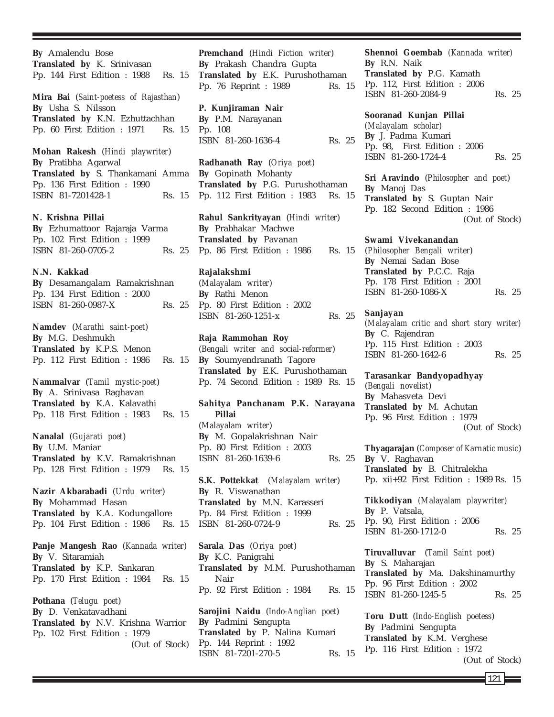**By** Amalendu Bose **Translated by** K. Srinivasan Pp. 144 First Edition : 1988 Rs. 15 **Mira Bai** (*Saint-poetess of Rajasthan*) **By** Usha S. Nilsson **Translated by** K.N. Ezhuttachhan Pp. 60 First Edition : 1971 Rs. 15 **Mohan Rakesh** (*Hindi playwriter*) **By** Pratibha Agarwal **Translated by** S. Thankamani Amma Pp. 136 First Edition : 1990 ISBN 81-7201428-1 Rs. 15 **N. Krishna Pillai By** Ezhumattoor Rajaraja Varma Pp. 102 First Edition : 1999 ISBN 81-260-0705-2 Rs. 25 **N.N. Kakkad By** Desamangalam Ramakrishnan Pp. 134 First Edition : 2000 ISBN 81-260-0987-X Rs. 25 **Namdev** (*Marathi saint-poet*) **By** M.G. Deshmukh **Translated by** K.P.S. Menon Pp. 112 First Edition : 1986 Rs. 15 **Nammalvar** (*Tamil mystic-poet*) **By** A. Srinivasa Raghavan **Translated by** K.A. Kalavathi Pp. 118 First Edition : 1983 Rs. 15 **Nanalal** (*Gujarati poet*) **By** U.M. Maniar **Translated by** K.V. Ramakrishnan Pp. 128 First Edition : 1979 Rs. 15 **Nazir Akbarabadi** (*Urdu writer*) **By** Mohammad Hasan **Translated by** K.A. Kodungallore Pp. 104 First Edition : 1986 Rs. 15 **Panje Mangesh Rao** (*Kannada writer*) **By** V. Sitaramiah **Translated by** K.P. Sankaran Pp. 170 First Edition : 1984 Rs. 15 **Pothana** (*Telugu poet*) **By** D. Venkatavadhani **Translated by** N.V. Krishna Warrior Pp. 102 First Edition : 1979 (Out of Stock)

**Premchand** (*Hindi Fiction writer*) **By** Prakash Chandra Gupta **Translated by** E.K. Purushothaman Pp. 76 Reprint : 1989 Rs. 15

**P. Kunjiraman Nair By** P.M. Narayanan Pp. 108 ISBN 81-260-1636-4 Rs. 25

**Radhanath Ray** (*Oriya poet*) **By** Gopinath Mohanty **Translated by** P.G. Purushothaman Pp. 112 First Edition : 1983 Rs. 15

**Rahul Sankrityayan** (*Hindi writer*) **By** Prabhakar Machwe **Translated by** Pavanan Pp. 86 First Edition : 1986 Rs. 15

### **Rajalakshmi**

(*Malayalam writer*) **By** Rathi Menon Pp. 80 First Edition : 2002 ISBN 81-260-1251-x Rs. 25

**Raja Rammohan Roy** (*Bengali writer and social-reformer*) **By** Soumyendranath Tagore **Translated by** E.K. Purushothaman Pp. 74 Second Edition : 1989 Rs. 15

**Sahitya Panchanam P.K. Narayana Pillai** (*Malayalam writer*) **By** M. Gopalakrishnan Nair Pp. 80 First Edition : 2003 ISBN 81-260-1639-6 Rs. 25

**S.K. Pottekkat** (*Malayalam writer*) **By** R. Viswanathan **Translated by** M.N. Karasseri Pp. 84 First Edition : 1999 ISBN 81-260-0724-9 Rs. 25

**Sarala Das** (*Oriya poet*) **By** K.C. Panigrahi **Translated by** M.M. Purushothaman Nair Pp. 92 First Edition : 1984 Rs. 15

**Sarojini Naidu** (*Indo-Anglian poet*) **By** Padmini Sengupta **Translated by** P. Nalina Kumari Pp. 144 Reprint : 1992 ISBN 81-7201-270-5 Rs. 15 **Shennoi Goembab** *(Kannada writer)* **By** R.N. Naik **Translated by** P.G. Kamath Pp. 112, First Edition : 2006 ISBN 81-260-2084-9 Rs. 25

**Sooranad Kunjan Pillai** *(Malayalam scholar)* **By** J. Padma Kumari Pp. 98, First Edition : 2006 ISBN 81-260-1724-4 Rs. 25

**Sri Aravindo** (*Philosopher and poet*) **By** Manoj Das **Translated by** S. Guptan Nair Pp. 182 Second Edition : 1986 (Out of Stock)

**Swami Vivekanandan** (*Philosopher Bengali writer*) **By** Nemai Sadan Bose **Translated by** P.C.C. Raja Pp. 178 First Edition : 2001 ISBN 81-260-1086-X Rs. 25

**Sanjayan** *(Malayalam critic and short story writer)* **By** C. Rajendran Pp. 115 First Edition : 2003 ISBN 81-260-1642-6 Rs. 25

**Tarasankar Bandyopadhyay** (*Bengali novelist*) **By** Mahasveta Devi **Translated by** M. Achutan Pp. 96 First Edition : 1979 (Out of Stock)

**Thyagarajan** (*Composer of Karnatic music*) **By** V. Raghavan **Translated by** B. Chitralekha Pp. xii+92 First Edition : 1989 Rs. 15

**Tikkodiyan** *(Malayalam playwriter)* **By** P. Vatsala, Pp. 90, First Edition : 2006 ISBN 81-260-1712-0 Rs. 25

**Tiruvalluvar** (*Tamil Saint poet*) **By** S. Maharajan **Translated by** Ma. Dakshinamurthy Pp. 96 First Edition : 2002 ISBN 81-260-1245-5 Rs. 25

**Toru Dutt** (*Indo-English poetess*) **By** Padmini Sengupta **Translated by** K.M. Verghese Pp. 116 First Edition : 1972 (Out of Stock)

 $121 \;$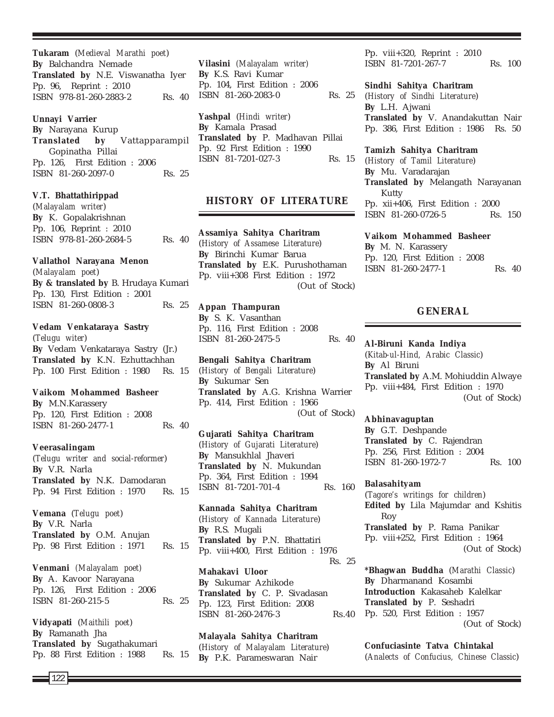**Tukaram** (*Medieval Marathi poet*) **By** Balchandra Nemade **Translated by** N.E. Viswanatha Iyer Pp. 96, Reprint : 2010 ISBN 978-81-260-2883-2 Rs. 40

#### **Unnayi Varrier**

**By** Narayana Kurup **Translated by** Vattapparampil Gopinatha Pillai Pp. 126, First Edition : 2006 ISBN 81-260-2097-0 Rs. 25

#### **V.T. Bhattathirippad**

(*Malayalam writer*) **By** K. Gopalakrishnan Pp. 106, Reprint : 2010 ISBN 978-81-260-2684-5 Rs. 40

#### **Vallathol Narayana Menon**

(*Malayalam poet*) **By & translated by** B. Hrudaya Kumari Pp. 130, First Edition : 2001 ISBN 81-260-0808-3 Rs. 25

#### **Vedam Venkataraya Sastry**

(*Telugu witer*) **By** Vedam Venkataraya Sastry (Jr.) **Translated by** K.N. Ezhuttachhan Pp. 100 First Edition : 1980 Rs. 15

### **Vaikom Mohammed Basheer**

**By** M.N.Karassery Pp. 120, First Edition : 2008 ISBN 81-260-2477-1 Rs. 40

#### **Veerasalingam**

(*Telugu writer and social-reformer*) **By** V.R. Narla **Translated by** N.K. Damodaran Pp. 94 First Edition : 1970 Rs. 15

**Vemana** (*Telugu poet*) **By** V.R. Narla **Translated by** O.M. Anujan Pp. 98 First Edition : 1971 Rs. 15

**Venmani** *(Malayalam poet)* **By** A. Kavoor Narayana Pp. 126, First Edition : 2006 ISBN 81-260-215-5 Rs. 25

**Vidyapati** (*Maithili poet*) **By** Ramanath Jha **Translated by** Sugathakumari Pp. 88 First Edition : 1988 Rs. 15

**Vilasini** *(Malayalam writer)* **By** K.S. Ravi Kumar Pp. 104, First Edition : 2006 ISBN 81-260-2083-0 Rs. 25

**Yashpal** (*Hindi writer*) **By** Kamala Prasad **Translated by** P. Madhavan Pillai Pp. 92 First Edition : 1990 ISBN 81-7201-027-3 Rs. 15

### **HISTORY OF LITERATURE**

**Assamiya Sahitya Charitram** (*History of Assamese Literature*) **By** Birinchi Kumar Barua **Translated by** E.K. Purushothaman Pp. viii+308 First Edition : 1972 (Out of Stock)

#### **Appan Thampuran**

**By** S. K. Vasanthan Pp. 116, First Edition : 2008 ISBN 81-260-2475-5 Rs. 40

**Bengali Sahitya Charitram** (*History of Bengali Literature*) **By** Sukumar Sen **Translated by** A.G. Krishna Warrier Pp. 414, First Edition : 1966 (Out of Stock)

**Gujarati Sahitya Charitram** (*History of Gujarati Literature*) **By** Mansukhlal Jhaveri **Translated by** N. Mukundan Pp. 364, First Edition : 1994 ISBN 81-7201-701-4 Rs. 160

**Kannada Sahitya Charitram** (*History of Kannada Literature*) **By** R.S. Mugali **Translated by** P.N. Bhattatiri Pp. viii+400, First Edition : 1976 Rs. 25 **Mahakavi Uloor By** Sukumar Azhikode **Translated by** C. P. Sivadasan Pp. 123, First Edition: 2008

ISBN 81-260-2476-3 Rs.40

**Malayala Sahitya Charitram** (*History of Malayalam Literature*) **By** P.K. Parameswaran Nair

Pp. viii+320, Reprint : 2010 ISBN 81-7201-267-7 Rs. 100

#### **Sindhi Sahitya Charitram**

(*History of Sindhi Literature*) **By** L.H. Ajwani **Translated by** V. Anandakuttan Nair Pp. 386, First Edition : 1986 Rs. 50

**Tamizh Sahitya Charitram** (*History of Tamil Literature*)

**By** Mu. Varadarajan **Translated by** Melangath Narayanan Kutty Pp. xii+406, First Edition : 2000 ISBN 81-260-0726-5 Rs. 150

#### **Vaikom Mohammed Basheer**

**By** M. N. Karassery Pp. 120, First Edition : 2008 ISBN 81-260-2477-1 Rs. 40

### **GENERAL**

### **Al-Biruni Kanda Indiya**

(*Kitab-ul-Hind, Arabic Classic*) **By** Al Biruni **Translated by** A.M. Mohiuddin Alwaye Pp. viii+484, First Edition : 1970 (Out of Stock)

#### **Abhinavaguptan**

**By** G.T. Deshpande **Translated by** C. Rajendran Pp. 256, First Edition : 2004 ISBN 81-260-1972-7 Rs. 100

#### **Balasahityam**

(*Tagore's writings for children*) **Edited by** Lila Majumdar and Kshitis Roy **Translated by** P. Rama Panikar Pp. viii+252, First Edition : 1964 (Out of Stock)

**\*Bhagwan Buddha** (*Marathi Classic*) **By** Dharmanand Kosambi **Introduction** Kakasaheb Kalelkar **Translated by** P. Seshadri Pp. 520, First Edition : 1957 (Out of Stock)

**Confuciasinte Tatva Chintakal** (*Analects of Confucius, Chinese Classic*)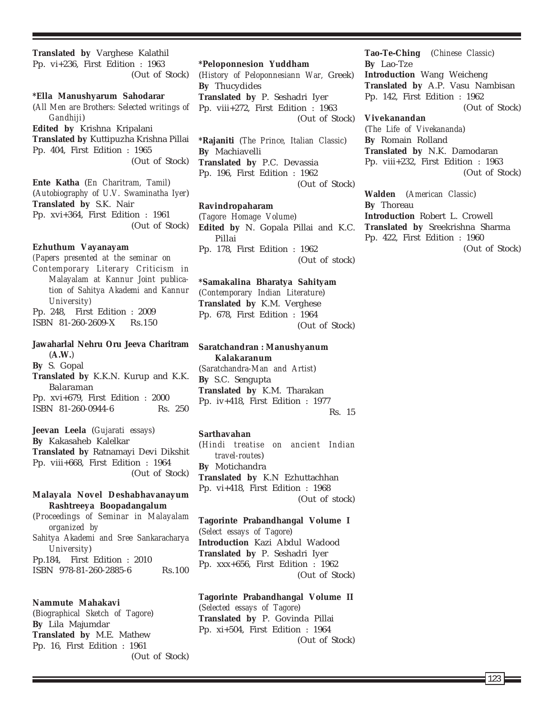**Translated by** Varghese Kalathil Pp. vi+236, First Edition : 1963 (Out of Stock) **\*Ella Manushyarum Sahodarar** (*All Men are Brothers: Selected writings of*

*Gandhiji*) **Edited by** Krishna Kripalani **Translated by** Kuttipuzha Krishna Pillai Pp. 404, First Edition : 1965 (Out of Stock)

**Ente Katha** (*En Charitram, Tamil*) (*Autobiography of U.V. Swaminatha Iyer*) **Translated by** S.K. Nair Pp. xvi+364, First Edition : 1961 (Out of Stock)

#### **Ezhuthum Vayanayam**

*(Papers presented at the seminar on Contemporary Literary Criticism in Malayalam at Kannur Joint publication of Sahitya Akademi and Kannur University)* Pp. 248, First Edition : 2009 ISBN 81-260-2609-X Rs.150

### **Jawaharlal Nehru Oru Jeeva Charitram** (**A.W.**) **By** S. Gopal

**Translated by** K.K.N. Kurup and K.K. Balaraman Pp. xvi+679, First Edition : 2000 ISBN 81-260-0944-6 Rs. 250

**Jeevan Leela** (*Gujarati essays*) **By** Kakasaheb Kalelkar **Translated by** Ratnamayi Devi Dikshit Pp. viii+668, First Edition : 1964 (Out of Stock)

#### **Malayala Novel Deshabhavanayum Rashtreeya Boopadangalum**

(*Proceedings of Seminar in Malayalam organized by Sahitya Akademi and Sree Sankaracharya University*) Pp.184, First Edition : 2010 ISBN 978-81-260-2885-6 Rs.100

#### **Nammute Mahakavi**

(*Biographical Sketch of Tagore*) **By** Lila Majumdar **Translated by** M.E. Mathew Pp. 16, First Edition : 1961 (Out of Stock)

**\*Peloponnesion Yuddham** (*History of Peloponnesiann War,* Greek) **By** Thucydides **Translated by** P. Seshadri Iyer Pp. viii+272, First Edition : 1963

(Out of Stock)

**\*Rajaniti** (*The Prince, Italian Classic*) **By** Machiavelli **Translated by** P.C. Devassia Pp. 196, First Edition : 1962 (Out of Stock)

#### **Ravindropaharam**

(*Tagore Homage Volume*) **Edited by** N. Gopala Pillai and K.C. Pillai Pp. 178, First Edition : 1962 (Out of stock)

#### **\*Samakalina Bharatya Sahityam**

(*Contemporary Indian Literature*) **Translated by** K.M. Verghese Pp. 678, First Edition : 1964 (Out of Stock)

**Saratchandran : Manushyanum Kalakaranum** (*Saratchandra-Man and Artist*) **By** S.C. Sengupta **Translated by** K.M. Tharakan Pp. iv+418, First Edition : 1977 Rs. 15

#### **Sarthavahan**

(*Hindi treatise on ancient Indian travel-routes*) **By** Motichandra **Translated by** K.N Ezhuttachhan Pp. vi+418, First Edition : 1968 (Out of stock)

#### **Tagorinte Prabandhangal Volume I**

(*Select essays of Tagore*) **Introduction** Kazi Abdul Wadood **Translated by** P. Seshadri Iyer Pp. xxx+656, First Edition : 1962 (Out of Stock)

### **Tagorinte Prabandhangal Volume II**

(*Selected essays of Tagore*) **Translated by** P. Govinda Pillai Pp. xi+504, First Edition : 1964 (Out of Stock) **Tao-Te-Ching** (*Chinese Classic*) **By** Lao-Tze **Introduction** Wang Weicheng **Translated by** A.P. Vasu Nambisan Pp. 142, First Edition : 1962 (Out of Stock) **Vivekanandan**

(*The Life of Vivekananda*) **By** Romain Rolland **Translated by** N.K. Damodaran Pp. viii+232, First Edition : 1963 (Out of Stock)

**Walden** (*American Classic*) **By** Thoreau **Introduction** Robert L. Crowell **Translated by** Sreekrishna Sharma Pp. 422, First Edition : 1960 (Out of Stock)